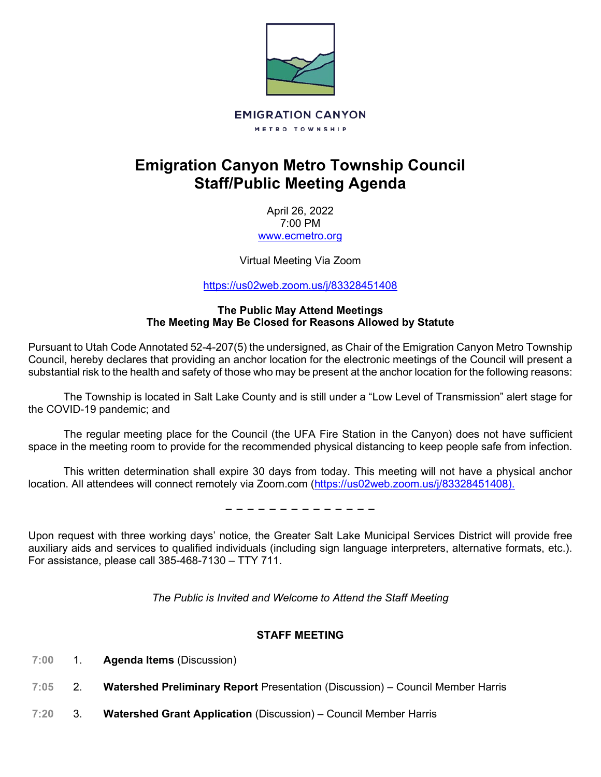

# **Emigration Canyon Metro Township Council Staff/Public Meeting Agenda**

April 26, 2022 7:00 PM [www.ecmetro.org](http://www.ecmetro.org/)

Virtual Meeting Via Zoom

<https://us02web.zoom.us/j/83328451408>

#### **The Public May Attend Meetings The Meeting May Be Closed for Reasons Allowed by Statute**

Pursuant to Utah Code Annotated 52-4-207(5) the undersigned, as Chair of the Emigration Canyon Metro Township Council, hereby declares that providing an anchor location for the electronic meetings of the Council will present a substantial risk to the health and safety of those who may be present at the anchor location for the following reasons:

The Township is located in Salt Lake County and is still under a "Low Level of Transmission" alert stage for the COVID-19 pandemic; and

The regular meeting place for the Council (the UFA Fire Station in the Canyon) does not have sufficient space in the meeting room to provide for the recommended physical distancing to keep people safe from infection.

This written determination shall expire 30 days from today. This meeting will not have a physical anchor location. All attendees will connect remotely via Zoom.com [\(https://us02web.zoom.us/j/83328451408\)](https://us02web.zoom.us/j/83328451408).

− − − − − − − − − − − − − −

Upon request with three working days' notice, the Greater Salt Lake Municipal Services District will provide free auxiliary aids and services to qualified individuals (including sign language interpreters, alternative formats, etc.). For assistance, please call 385-468-7130 – TTY 711.

*The Public is Invited and Welcome to Attend the Staff Meeting*

#### **STAFF MEETING**

- $7:00$ 1. **Agenda Items** (Discussion)
- $7:05$ 2. **Watershed Preliminary Report** Presentation (Discussion) – Council Member Harris
- $7:20$ 3. **Watershed Grant Application** (Discussion) – Council Member Harris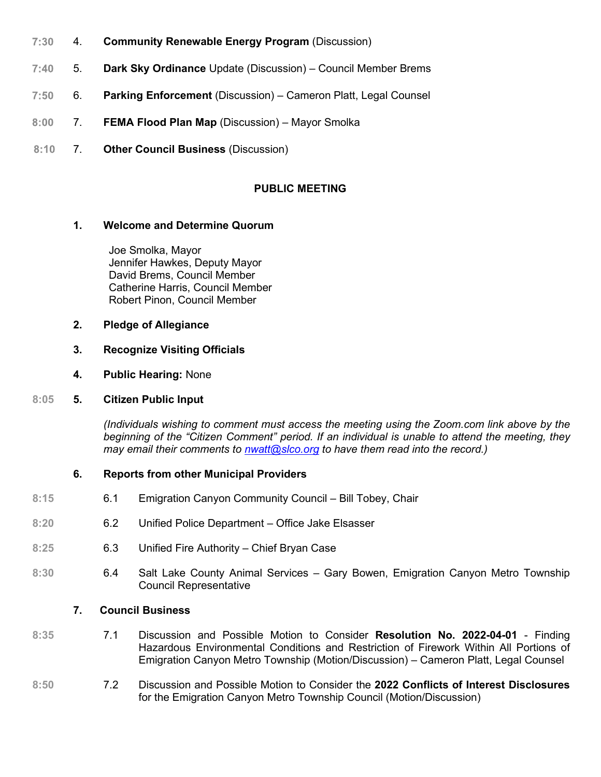- 4. **Community Renewable Energy Program** (Discussion)  $7:30$
- $7:40$ 5. **Dark Sky Ordinance** Update (Discussion) – Council Member Brems
- $7:50$ 6. **Parking Enforcement** (Discussion) – Cameron Platt, Legal Counsel
- $8:00$ 7. **FEMA Flood Plan Map** (Discussion) – Mayor Smolka
- 7. **Other Council Business** (Discussion)  $8:10$

## **PUBLIC MEETING**

#### **1. Welcome and Determine Quorum**

 Joe Smolka, Mayor Jennifer Hawkes, Deputy Mayor David Brems, Council Member Catherine Harris, Council Member Robert Pinon, Council Member

**2. Pledge of Allegiance**

#### **3. Recognize Visiting Officials**

**4. Public Hearing:** None

#### **8:05 5. Citizen Public Input**

*(Individuals wishing to comment must access the meeting using the Zoom.com link above by the beginning of the "Citizen Comment" period. If an individual is unable to attend the meeting, they may email their comments to [nwatt@slco.org](mailto:nwatt@slco.org) to have them read into the record.)*

#### **6. Reports from other Municipal Providers**

- **8:15** 6.1 Emigration Canyon Community Council Bill Tobey, Chair
- **8:20** 6.2 Unified Police Department Office Jake Elsasser
- **8:25** 6.3 Unified Fire Authority Chief Bryan Case
- **8:30** 6.4 Salt Lake County Animal Services Gary Bowen, Emigration Canyon Metro Township Council Representative

#### **7. Council Business**

- **8:35** 7.1 Discussion and Possible Motion to Consider **Resolution No. 2022-04-01** Finding Hazardous Environmental Conditions and Restriction of Firework Within All Portions of Emigration Canyon Metro Township (Motion/Discussion) – Cameron Platt, Legal Counsel
- **8:50** 7.2 Discussion and Possible Motion to Consider the **2022 Conflicts of Interest Disclosures** for the Emigration Canyon Metro Township Council (Motion/Discussion)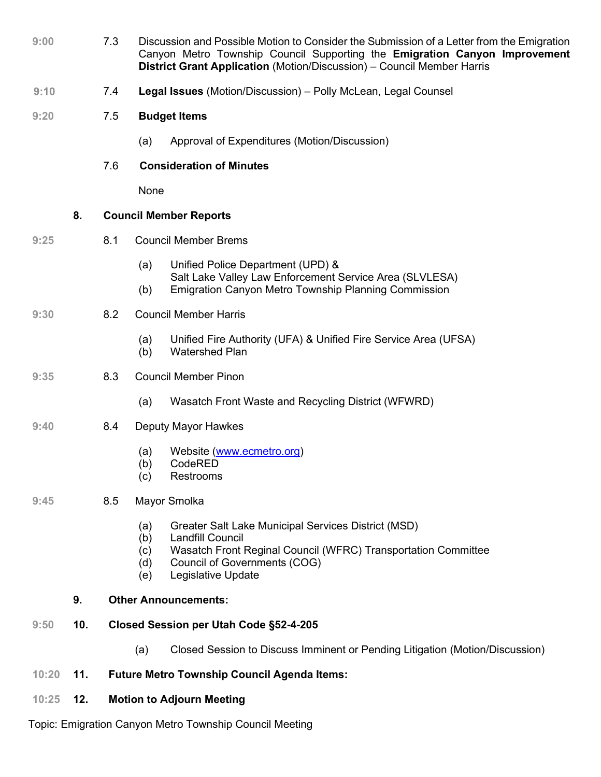| 9:00 | Discussion and Possible Motion to Consider the Submission of a Letter from the Emigration |
|------|-------------------------------------------------------------------------------------------|
|      | Canyon Metro Township Council Supporting the Emigration Canyon Improvement                |
|      | <b>District Grant Application</b> (Motion/Discussion) – Council Member Harris             |

- $9:10$ 7.4 **Legal Issues** (Motion/Discussion) – Polly McLean, Legal Counsel
- **9:20** 7.5 **Budget Items**
	- (a) Approval of Expenditures (Motion/Discussion)
	- 7.6 **Consideration of Minutes**

None

## **8. Council Member Reports**

- **9:25** 8.1 Council Member Brems
	- (a) Unified Police Department (UPD) & Salt Lake Valley Law Enforcement Service Area (SLVLESA)
	- (b) Emigration Canyon Metro Township Planning Commission

## **9:30** 8.2 Council Member Harris

- (a) Unified Fire Authority (UFA) & Unified Fire Service Area (UFSA)
- (b) Watershed Plan

#### **9:35** 8.3 Council Member Pinon

(a) Wasatch Front Waste and Recycling District (WFWRD)

## **9:40** 8.4 Deputy Mayor Hawkes

- (a) Website [\(www.ecmetro.org\)](http://www.ecmetro.org/)
- (b) CodeRED
- (c) Restrooms

#### **9:45** 8.5 Mayor Smolka

- (a) Greater Salt Lake Municipal Services District (MSD)
- (b) Landfill Council
- (c) Wasatch Front Reginal Council (WFRC) Transportation Committee
- (d) Council of Governments (COG)
- (e) Legislative Update

#### **9. Other Announcements:**

- **9:50 10. Closed Session per Utah Code §52-4-205**
	- (a) Closed Session to Discuss Imminent or Pending Litigation (Motion/Discussion)
- **10:20 11. Future Metro Township Council Agenda Items:**
- **10:25 12. Motion to Adjourn Meeting**

Topic: Emigration Canyon Metro Township Council Meeting